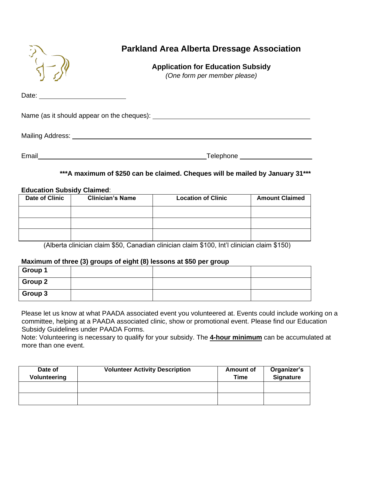## **Parkland Area Alberta Dressage Association**

## **Application for Education Subsidy**

*(One form per member please)*

Date: **Date: Date: Date: Date: Date: Date: Date: Date: Date: Date: Date: Date: Date: Date: Date: Date: Date: Date: Date: Date: Date: Date: Date: Date: Date: Date: Date:**

Name (as it should appear on the cheques):

Mailing Address:

Email **Email Email Email Email Email Email Email Email Email Email Email Email Email Email Email Email Email Email Email Email Email Email Email Email Email Email Email**

#### **\*\*\*A maximum of \$250 can be claimed. Cheques will be mailed by January 31\*\*\***

#### **Education Subsidy Claimed**:

| <b>Date of Clinic</b> | <b>Clinician's Name</b> | <b>Location of Clinic</b> | <b>Amount Claimed</b> |
|-----------------------|-------------------------|---------------------------|-----------------------|
|                       |                         |                           |                       |
|                       |                         |                           |                       |
|                       |                         |                           |                       |

(Alberta clinician claim \$50, Canadian clinician claim \$100, Int'l clinician claim \$150)

#### **Maximum of three (3) groups of eight (8) lessons at \$50 per group**

| Group 1 |  |  |
|---------|--|--|
| Group 2 |  |  |
| Group 3 |  |  |

Please let us know at what PAADA associated event you volunteered at. Events could include working on a committee, helping at a PAADA associated clinic, show or promotional event. Please find our Education Subsidy Guidelines under PAADA Forms.

Note: Volunteering is necessary to qualify for your subsidy. The **4-hour minimum** can be accumulated at more than one event.

| Date of<br>Volunteering | <b>Volunteer Activity Description</b> | Amount of<br>Time | Organizer's<br><b>Signature</b> |
|-------------------------|---------------------------------------|-------------------|---------------------------------|
|                         |                                       |                   |                                 |
|                         |                                       |                   |                                 |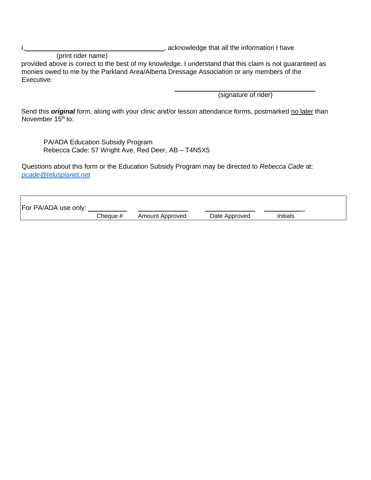$\Gamma$ 

I, 1, 2008 and the information I have

(print rider name) provided above is correct to the best of my knowledge. I understand that this claim is not guaranteed as monies owed to me by the Parkland Area/Alberta Dressage Association or any members of the Executive.

(signature of rider)

Send this *original* form, along with your clinic and/or lesson attendance forms, postmarked no later than November  $15<sup>th</sup>$  to:

PA/ADA Education Subsidy Program Rebecca Cade: 57 Wright Ave, Red Deer, AB – T4N5X5

Questions about this form or the Education Subsidy Program may be directed to *Rebecca Cade* at: *[pcade@telusplanet.net](mailto:pcade@telusplanet.net)*

| For PA/ADA use only: |          |                 |               |          |  |
|----------------------|----------|-----------------|---------------|----------|--|
|                      | Cheaue # | Amount Approved | Date Approved | Initials |  |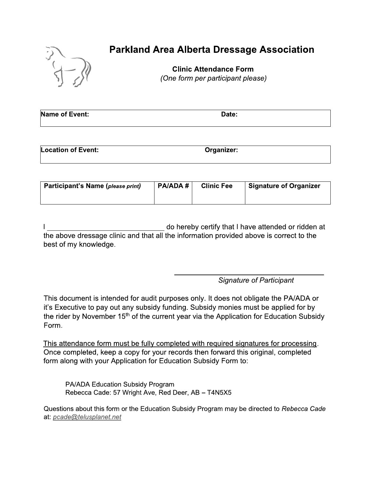

# **Parkland Area Alberta Dressage Association**

**Clinic Attendance Form** (One form per participant please)

| Name of Event: | Date: |
|----------------|-------|
|                |       |

| <b>Location of Event:</b> | Organizer: |
|---------------------------|------------|
|                           |            |

| Participant's Name (please print) | PA/ADA # | <b>Clinic Fee</b> | <b>Signature of Organizer</b> |
|-----------------------------------|----------|-------------------|-------------------------------|
|                                   |          |                   |                               |

do hereby certify that I have attended or ridden at the above dressage clinic and that all the information provided above is correct to the best of my knowledge.

**Signature of Participant** 

This document is intended for audit purposes only. It does not obligate the PA/ADA or it's Executive to pay out any subsidy funding. Subsidy monies must be applied for by the rider by November 15<sup>th</sup> of the current year via the Application for Education Subsidy Form.

This attendance form must be fully completed with required signatures for processing. Once completed, keep a copy for your records then forward this original, completed form along with your Application for Education Subsidy Form to:

PA/ADA Education Subsidy Program Rebecca Cade: 57 Wright Ave, Red Deer, AB - T4N5X5

Questions about this form or the Education Subsidy Program may be directed to Rebecca Cade at: pcade@telusplanet.net